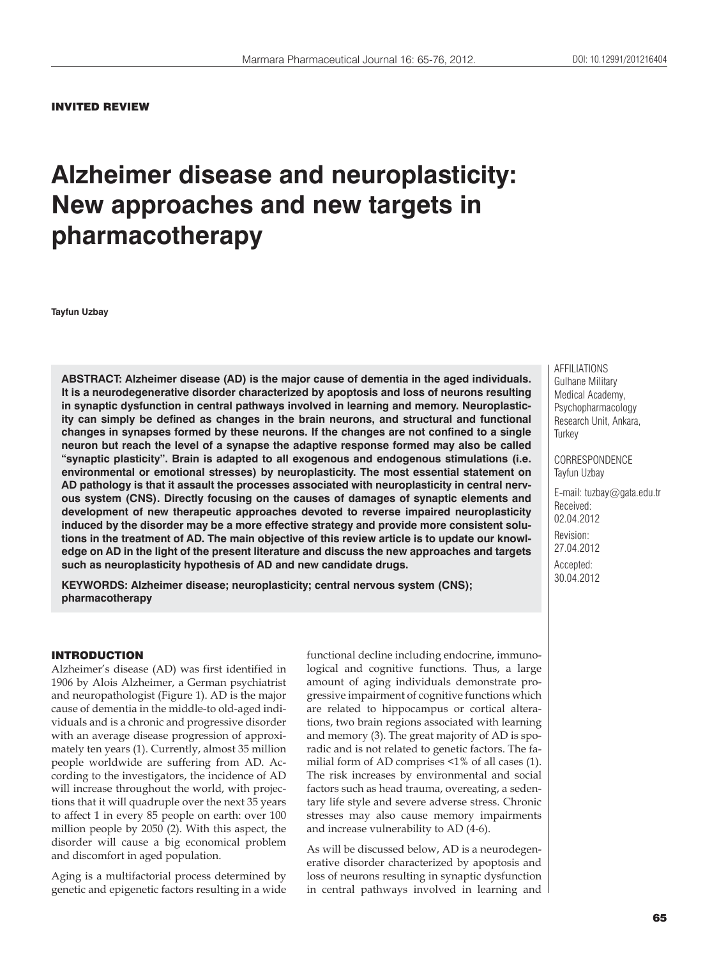#### INVITED REVIEW

# **Alzheimer disease and neuroplasticity: New approaches and new targets in pharmacotherapy**

**Tayfun Uzbay**

**ABSTRACT: Alzheimer disease (AD) is the major cause of dementia in the aged individuals. It is a neurodegenerative disorder characterized by apoptosis and loss of neurons resulting in synaptic dysfunction in central pathways involved in learning and memory. Neuroplasticity can simply be defined as changes in the brain neurons, and structural and functional changes in synapses formed by these neurons. If the changes are not confined to a single neuron but reach the level of a synapse the adaptive response formed may also be called "synaptic plasticity". Brain is adapted to all exogenous and endogenous stimulations (i.e. environmental or emotional stresses) by neuroplasticity. The most essential statement on AD pathology is that it assault the processes associated with neuroplasticity in central nervous system (CNS). Directly focusing on the causes of damages of synaptic elements and development of new therapeutic approaches devoted to reverse impaired neuroplasticity induced by the disorder may be a more effective strategy and provide more consistent solutions in the treatment of AD. The main objective of this review article is to update our knowledge on AD in the light of the present literature and discuss the new approaches and targets such as neuroplasticity hypothesis of AD and new candidate drugs.**

**KEYWORDS: Alzheimer disease; neuroplasticity; central nervous system (CNS); pharmacotherapy**

#### INTRODUCTION

Alzheimer's disease (AD) was first identified in 1906 by Alois Alzheimer, a German psychiatrist and neuropathologist (Figure 1). AD is the major cause of dementia in the middle-to old-aged individuals and is a chronic and progressive disorder with an average disease progression of approximately ten years (1). Currently, almost 35 million people worldwide are suffering from AD. According to the investigators, the incidence of AD will increase throughout the world, with projections that it will quadruple over the next 35 years to affect 1 in every 85 people on earth: over 100 million people by 2050 (2). With this aspect, the disorder will cause a big economical problem and discomfort in aged population.

Aging is a multifactorial process determined by genetic and epigenetic factors resulting in a wide functional decline including endocrine, immunological and cognitive functions. Thus, a large amount of aging individuals demonstrate progressive impairment of cognitive functions which are related to hippocampus or cortical alterations, two brain regions associated with learning and memory (3). The great majority of AD is sporadic and is not related to genetic factors. The familial form of AD comprises <1% of all cases (1). The risk increases by environmental and social factors such as head trauma, overeating, a sedentary life style and severe adverse stress. Chronic stresses may also cause memory impairments and increase vulnerability to AD (4-6).

As will be discussed below, AD is a neurodegenerative disorder characterized by apoptosis and loss of neurons resulting in synaptic dysfunction in central pathways involved in learning and AFFILIATIONS Gulhane Military Medical Academy, Psychopharmacology Research Unit, Ankara, **Turkey** 

CORRESPONDENCE Tayfun Uzbay

E-mail: tuzbay@gata.edu.tr Received: 02.04.2012 Revision: 27.04.2012 Accepted: 30.04.2012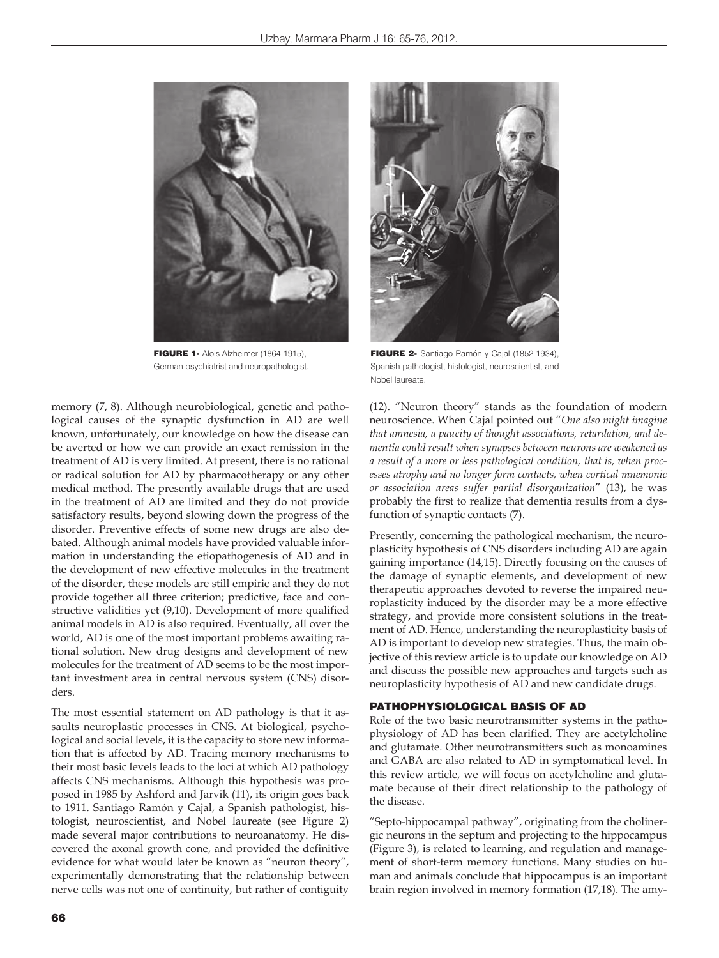

FIGURE 1- Alois Alzheimer (1864-1915), German psychiatrist and neuropathologist.

memory (7, 8). Although neurobiological, genetic and pathological causes of the synaptic dysfunction in AD are well known, unfortunately, our knowledge on how the disease can be averted or how we can provide an exact remission in the treatment of AD is very limited. At present, there is no rational or radical solution for AD by pharmacotherapy or any other medical method. The presently available drugs that are used in the treatment of AD are limited and they do not provide satisfactory results, beyond slowing down the progress of the disorder. Preventive effects of some new drugs are also debated. Although animal models have provided valuable information in understanding the etiopathogenesis of AD and in the development of new effective molecules in the treatment of the disorder, these models are still empiric and they do not provide together all three criterion; predictive, face and constructive validities yet (9,10). Development of more qualified animal models in AD is also required. Eventually, all over the world, AD is one of the most important problems awaiting rational solution. New drug designs and development of new molecules for the treatment of AD seems to be the most important investment area in central nervous system (CNS) disorders.

The most essential statement on AD pathology is that it assaults neuroplastic processes in CNS. At biological, psychological and social levels, it is the capacity to store new information that is affected by AD. Tracing memory mechanisms to their most basic levels leads to the loci at which AD pathology affects CNS mechanisms. Although this hypothesis was proposed in 1985 by Ashford and Jarvik (11), its origin goes back to 1911. Santiago Ramón y Cajal, a Spanish pathologist, histologist, neuroscientist, and Nobel laureate (see Figure 2) made several major contributions to neuroanatomy. He discovered the axonal growth cone, and provided the definitive evidence for what would later be known as "neuron theory", experimentally demonstrating that the relationship between nerve cells was not one of continuity, but rather of contiguity



FIGURE 2- Santiago Ramón y Cajal (1852-1934), Spanish pathologist, histologist, neuroscientist, and Nobel laureate.

(12). "Neuron theory" stands as the foundation of modern neuroscience. When Cajal pointed out "*One also might imagine that amnesia, a paucity of thought associations, retardation, and dementia could result when synapses between neurons are weakened as a result of a more or less pathological condition, that is, when processes atrophy and no longer form contacts, when cortical mnemonic or association areas suffer partial disorganization*" (13), he was probably the first to realize that dementia results from a dysfunction of synaptic contacts (7).

Presently, concerning the pathological mechanism, the neuroplasticity hypothesis of CNS disorders including AD are again gaining importance (14,15). Directly focusing on the causes of the damage of synaptic elements, and development of new therapeutic approaches devoted to reverse the impaired neuroplasticity induced by the disorder may be a more effective strategy, and provide more consistent solutions in the treatment of AD. Hence, understanding the neuroplasticity basis of AD is important to develop new strategies. Thus, the main objective of this review article is to update our knowledge on AD and discuss the possible new approaches and targets such as neuroplasticity hypothesis of AD and new candidate drugs.

# PATHOPHYSIOLOGICAL BASIS OF AD

Role of the two basic neurotransmitter systems in the pathophysiology of AD has been clarified. They are acetylcholine and glutamate. Other neurotransmitters such as monoamines and GABA are also related to AD in symptomatical level. In this review article, we will focus on acetylcholine and glutamate because of their direct relationship to the pathology of the disease.

"Septo-hippocampal pathway", originating from the cholinergic neurons in the septum and projecting to the hippocampus (Figure 3), is related to learning, and regulation and management of short-term memory functions. Many studies on human and animals conclude that hippocampus is an important brain region involved in memory formation (17,18). The amy-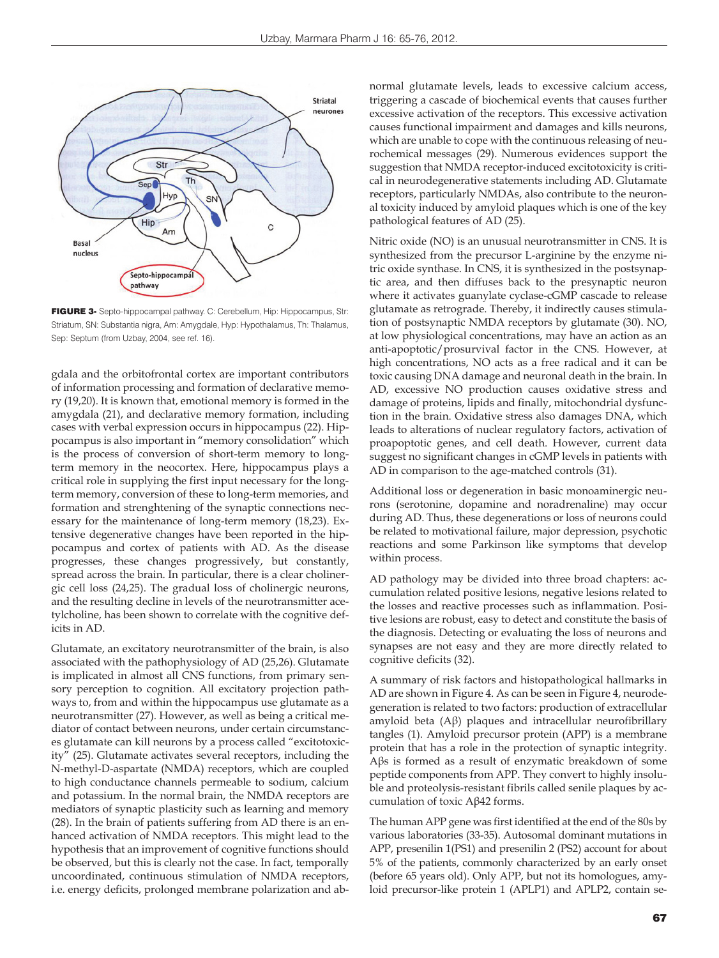

FIGURE 3- Septo-hippocampal pathway. C: Cerebellum, Hip: Hippocampus, Str: Striatum, SN: Substantia nigra, Am: Amygdale, Hyp: Hypothalamus, Th: Thalamus, Sep: Septum (from Uzbay, 2004, see ref. 16).

gdala and the orbitofrontal cortex are important contributors of information processing and formation of declarative memory (19,20). It is known that, emotional memory is formed in the amygdala (21), and declarative memory formation, including cases with verbal expression occurs in hippocampus (22). Hippocampus is also important in "memory consolidation" which is the process of conversion of short-term memory to longterm memory in the neocortex. Here, hippocampus plays a critical role in supplying the first input necessary for the longterm memory, conversion of these to long-term memories, and formation and strenghtening of the synaptic connections necessary for the maintenance of long-term memory (18,23). Extensive degenerative changes have been reported in the hippocampus and cortex of patients with AD. As the disease progresses, these changes progressively, but constantly, spread across the brain. In particular, there is a clear cholinergic cell loss (24,25). The gradual loss of cholinergic neurons, and the resulting decline in levels of the neurotransmitter acetylcholine, has been shown to correlate with the cognitive deficits in AD.

Glutamate, an excitatory neurotransmitter of the brain, is also associated with the pathophysiology of AD (25,26). Glutamate is implicated in almost all CNS functions, from primary sensory perception to cognition. All excitatory projection pathways to, from and within the hippocampus use glutamate as a neurotransmitter (27). However, as well as being a critical mediator of contact between neurons, under certain circumstances glutamate can kill neurons by a process called "excitotoxicity" (25). Glutamate activates several receptors, including the N-methyl-D-aspartate (NMDA) receptors, which are coupled to high conductance channels permeable to sodium, calcium and potassium. In the normal brain, the NMDA receptors are mediators of synaptic plasticity such as learning and memory (28). In the brain of patients suffering from AD there is an enhanced activation of NMDA receptors. This might lead to the hypothesis that an improvement of cognitive functions should be observed, but this is clearly not the case. In fact, temporally uncoordinated, continuous stimulation of NMDA receptors, i.e. energy deficits, prolonged membrane polarization and abnormal glutamate levels, leads to excessive calcium access, triggering a cascade of biochemical events that causes further excessive activation of the receptors. This excessive activation causes functional impairment and damages and kills neurons, which are unable to cope with the continuous releasing of neurochemical messages (29). Numerous evidences support the suggestion that NMDA receptor-induced excitotoxicity is critical in neurodegenerative statements including AD. Glutamate receptors, particularly NMDAs, also contribute to the neuronal toxicity induced by amyloid plaques which is one of the key pathological features of AD (25).

Nitric oxide (NO) is an unusual neurotransmitter in CNS. It is synthesized from the precursor L-arginine by the enzyme nitric oxide synthase. In CNS, it is synthesized in the postsynaptic area, and then diffuses back to the presynaptic neuron where it activates guanylate cyclase-cGMP cascade to release glutamate as retrograde. Thereby, it indirectly causes stimulation of postsynaptic NMDA receptors by glutamate (30). NO, at low physiological concentrations, may have an action as an anti-apoptotic/prosurvival factor in the CNS. However, at high concentrations, NO acts as a free radical and it can be toxic causing DNA damage and neuronal death in the brain. In AD, excessive NO production causes oxidative stress and damage of proteins, lipids and finally, mitochondrial dysfunction in the brain. Oxidative stress also damages DNA, which leads to alterations of nuclear regulatory factors, activation of proapoptotic genes, and cell death. However, current data suggest no significant changes in cGMP levels in patients with AD in comparison to the age-matched controls (31).

Additional loss or degeneration in basic monoaminergic neurons (serotonine, dopamine and noradrenaline) may occur during AD. Thus, these degenerations or loss of neurons could be related to motivational failure, major depression, psychotic reactions and some Parkinson like symptoms that develop within process.

AD pathology may be divided into three broad chapters: accumulation related positive lesions, negative lesions related to the losses and reactive processes such as inflammation. Positive lesions are robust, easy to detect and constitute the basis of the diagnosis. Detecting or evaluating the loss of neurons and synapses are not easy and they are more directly related to cognitive deficits (32).

A summary of risk factors and histopathological hallmarks in AD are shown in Figure 4. As can be seen in Figure 4, neurodegeneration is related to two factors: production of extracellular amyloid beta (Aβ) plaques and intracellular neurofibrillary tangles (1). Amyloid precursor protein (APP) is a membrane protein that has a role in the protection of synaptic integrity. Aβs is formed as a result of enzymatic breakdown of some peptide components from APP. They convert to highly insoluble and proteolysis-resistant fibrils called senile plaques by accumulation of toxic Aβ42 forms.

The human APP gene was first identified at the end of the 80s by various laboratories (33-35). Autosomal dominant mutations in APP, presenilin 1(PS1) and presenilin 2 (PS2) account for about 5% of the patients, commonly characterized by an early onset (before 65 years old). Only APP, but not its homologues, amyloid precursor-like protein 1 (APLP1) and APLP2, contain se-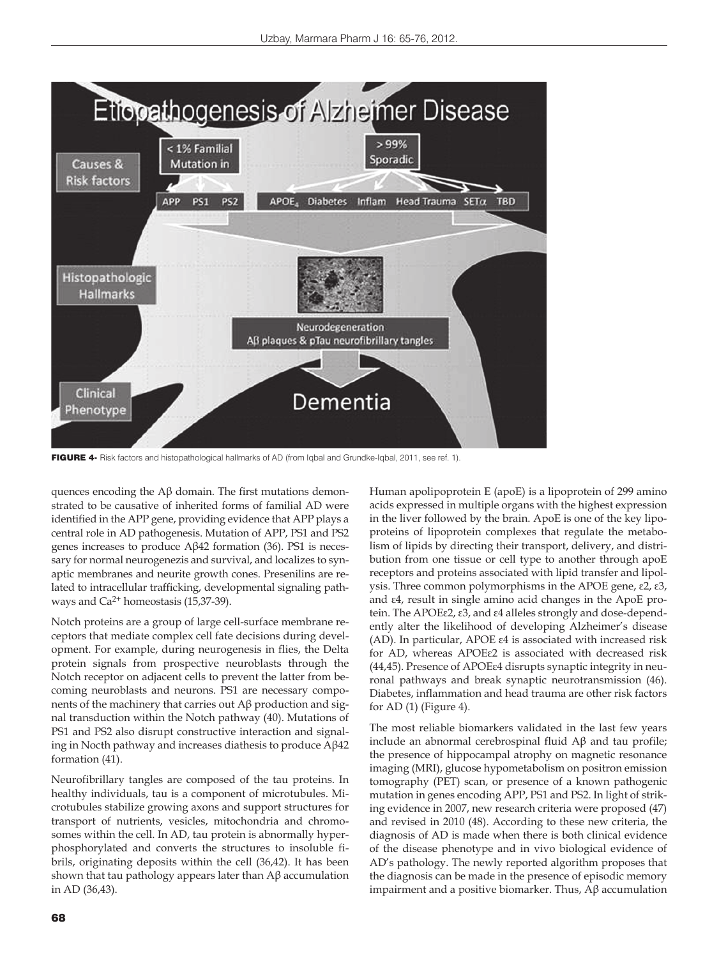

FIGURE 4- Risk factors and histopathological hallmarks of AD (from Iqbal and Grundke-Iqbal, 2011, see ref. 1).

quences encoding the Aβ domain. The first mutations demonstrated to be causative of inherited forms of familial AD were identified in the APP gene, providing evidence that APP plays a central role in AD pathogenesis. Mutation of APP, PS1 and PS2 genes increases to produce Aβ42 formation (36). PS1 is necessary for normal neurogenezis and survival, and localizes to synaptic membranes and neurite growth cones. Presenilins are related to intracellular trafficking, developmental signaling pathways and Ca2+ homeostasis (15,37-39).

Notch proteins are a group of large cell-surface membrane receptors that mediate complex cell fate decisions during development. For example, during neurogenesis in flies, the Delta protein signals from prospective neuroblasts through the Notch receptor on adjacent cells to prevent the latter from becoming neuroblasts and neurons. PS1 are necessary components of the machinery that carries out Aβ production and signal transduction within the Notch pathway (40). Mutations of PS1 and PS2 also disrupt constructive interaction and signaling in Nocth pathway and increases diathesis to produce Aβ42 formation (41).

Neurofibrillary tangles are composed of the tau proteins. In healthy individuals, tau is a component of microtubules. Microtubules stabilize growing axons and support structures for transport of nutrients, vesicles, mitochondria and chromosomes within the cell. In AD, tau protein is abnormally hyperphosphorylated and converts the structures to insoluble fibrils, originating deposits within the cell (36,42). It has been shown that tau pathology appears later than Aβ accumulation in AD (36,43).

Human apolipoprotein E (apoE) is a lipoprotein of 299 amino acids expressed in multiple organs with the highest expression in the liver followed by the brain. ApoE is one of the key lipoproteins of lipoprotein complexes that regulate the metabolism of lipids by directing their transport, delivery, and distribution from one tissue or cell type to another through apoE receptors and proteins associated with lipid transfer and lipolysis. Three common polymorphisms in the APOE gene, ε2, ε3, and ε4, result in single amino acid changes in the ApoE protein. The APOEε2, ε3, and ε4 alleles strongly and dose-dependently alter the likelihood of developing Alzheimer's disease (AD). In particular, APOE ε4 is associated with increased risk for AD, whereas APOEε2 is associated with decreased risk (44,45). Presence of APOEε4 disrupts synaptic integrity in neuronal pathways and break synaptic neurotransmission (46). Diabetes, inflammation and head trauma are other risk factors for AD (1) (Figure 4).

The most reliable biomarkers validated in the last few years include an abnormal cerebrospinal fluid Aβ and tau profile; the presence of hippocampal atrophy on magnetic resonance imaging (MRI), glucose hypometabolism on positron emission tomography (PET) scan, or presence of a known pathogenic mutation in genes encoding APP, PS1 and PS2. In light of striking evidence in 2007, new research criteria were proposed (47) and revised in 2010 (48). According to these new criteria, the diagnosis of AD is made when there is both clinical evidence of the disease phenotype and in vivo biological evidence of AD's pathology. The newly reported algorithm proposes that the diagnosis can be made in the presence of episodic memory impairment and a positive biomarker. Thus, Aβ accumulation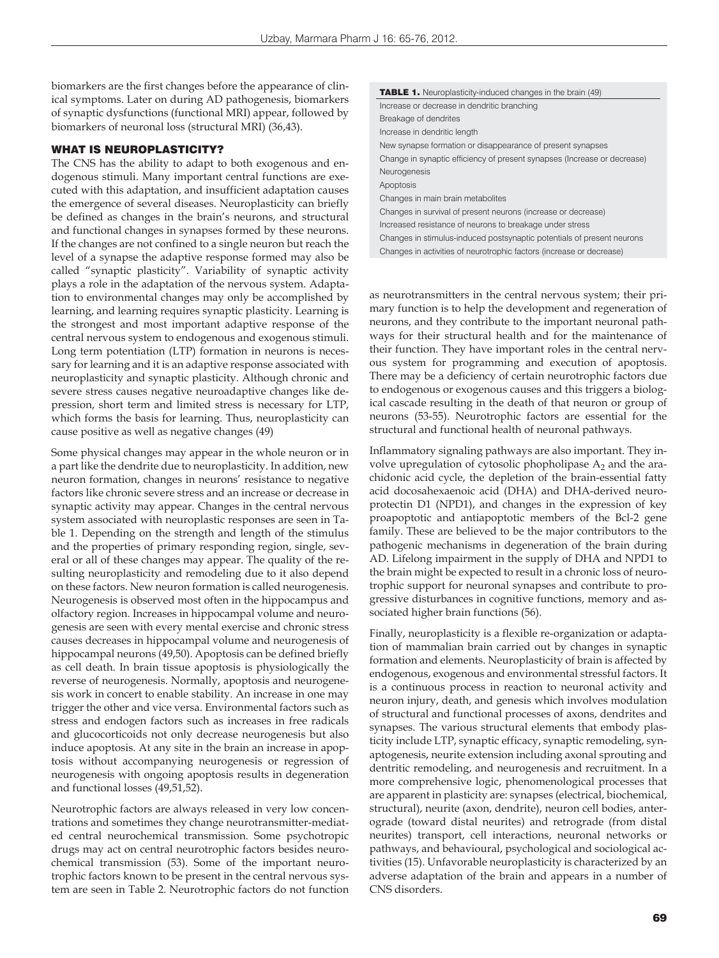biomarkers are the first changes before the appearance of clinical symptoms. Later on during AD pathogenesis, biomarkers of synaptic dysfunctions (functional MRI) appear, followed by biomarkers of neuronal loss (structural MRI) (36,43).

#### WHAT IS NEUROPLASTICITY?

The CNS has the ability to adapt to both exogenous and endogenous stimuli. Many important central functions are executed with this adaptation, and insufficient adaptation causes the emergence of several diseases. Neuroplasticity can briefly be defined as changes in the brain's neurons, and structural and functional changes in synapses formed by these neurons. If the changes are not confined to a single neuron but reach the level of a synapse the adaptive response formed may also be called "synaptic plasticity". Variability of synaptic activity plays a role in the adaptation of the nervous system. Adaptation to environmental changes may only be accomplished by learning, and learning requires synaptic plasticity. Learning is the strongest and most important adaptive response of the central nervous system to endogenous and exogenous stimuli. Long term potentiation (LTP) formation in neurons is necessary for learning and it is an adaptive response associated with neuroplasticity and synaptic plasticity. Although chronic and severe stress causes negative neuroadaptive changes like depression, short term and limited stress is necessary for LTP, which forms the basis for learning. Thus, neuroplasticity can cause positive as well as negative changes (49)

Some physical changes may appear in the whole neuron or in a part like the dendrite due to neuroplasticity. In addition, new neuron formation, changes in neurons' resistance to negative factors like chronic severe stress and an increase or decrease in synaptic activity may appear. Changes in the central nervous system associated with neuroplastic responses are seen in Table 1. Depending on the strength and length of the stimulus and the properties of primary responding region, single, several or all of these changes may appear. The quality of the resulting neuroplasticity and remodeling due to it also depend on these factors. New neuron formation is called neurogenesis. Neurogenesis is observed most often in the hippocampus and olfactory region. Increases in hippocampal volume and neurogenesis are seen with every mental exercise and chronic stress causes decreases in hippocampal volume and neurogenesis of hippocampal neurons (49,50). Apoptosis can be defined briefly as cell death. In brain tissue apoptosis is physiologically the reverse of neurogenesis. Normally, apoptosis and neurogenesis work in concert to enable stability. An increase in one may trigger the other and vice versa. Environmental factors such as stress and endogen factors such as increases in free radicals and glucocorticoids not only decrease neurogenesis but also induce apoptosis. At any site in the brain an increase in apoptosis without accompanying neurogenesis or regression of neurogenesis with ongoing apoptosis results in degeneration and functional losses (49,51,52).

Neurotrophic factors are always released in very low concentrations and sometimes they change neurotransmitter-mediated central neurochemical transmission. Some psychotropic drugs may act on central neurotrophic factors besides neurochemical transmission (53). Some of the important neurotrophic factors known to be present in the central nervous system are seen in Table 2. Neurotrophic factors do not function

| <b>TABLE 1.</b> Neuroplasticity-induced changes in the brain (49)        |  |  |  |  |
|--------------------------------------------------------------------------|--|--|--|--|
| Increase or decrease in dendritic branching                              |  |  |  |  |
| Breakage of dendrites                                                    |  |  |  |  |
| Increase in dendritic length                                             |  |  |  |  |
| New synapse formation or disappearance of present synapses               |  |  |  |  |
| Change in synaptic efficiency of present synapses (Increase or decrease) |  |  |  |  |
| Neurogenesis                                                             |  |  |  |  |
| Apoptosis                                                                |  |  |  |  |
| Changes in main brain metabolites                                        |  |  |  |  |
| Changes in survival of present neurons (increase or decrease)            |  |  |  |  |
| Increased resistance of neurons to breakage under stress                 |  |  |  |  |
| Changes in stimulus-induced postsynaptic potentials of present neurons   |  |  |  |  |
| Changes in activities of neurotrophic factors (increase or decrease)     |  |  |  |  |

as neurotransmitters in the central nervous system; their primary function is to help the development and regeneration of neurons, and they contribute to the important neuronal pathways for their structural health and for the maintenance of their function. They have important roles in the central nervous system for programming and execution of apoptosis. There may be a deficiency of certain neurotrophic factors due to endogenous or exogenous causes and this triggers a biological cascade resulting in the death of that neuron or group of neurons (53-55). Neurotrophic factors are essential for the structural and functional health of neuronal pathways.

Inflammatory signaling pathways are also important. They involve upregulation of cytosolic phopholipase  $A_2$  and the arachidonic acid cycle, the depletion of the brain-essential fatty acid docosahexaenoic acid (DHA) and DHA-derived neuroprotectin D1 (NPD1), and changes in the expression of key proapoptotic and antiapoptotic members of the Bcl-2 gene family. These are believed to be the major contributors to the pathogenic mechanisms in degeneration of the brain during AD. Lifelong impairment in the supply of DHA and NPD1 to the brain might be expected to result in a chronic loss of neurotrophic support for neuronal synapses and contribute to progressive disturbances in cognitive functions, memory and associated higher brain functions (56).

Finally, neuroplasticity is a flexible re-organization or adaptation of mammalian brain carried out by changes in synaptic formation and elements. Neuroplasticity of brain is affected by endogenous, exogenous and environmental stressful factors. It is a continuous process in reaction to neuronal activity and neuron injury, death, and genesis which involves modulation of structural and functional processes of axons, dendrites and synapses. The various structural elements that embody plasticity include LTP, synaptic efficacy, synaptic remodeling, synaptogenesis, neurite extension including axonal sprouting and dentritic remodeling, and neurogenesis and recruitment. In a more comprehensive logic, phenomenological processes that are apparent in plasticity are: synapses (electrical, biochemical, structural), neurite (axon, dendrite), neuron cell bodies, anterograde (toward distal neurites) and retrograde (from distal neurites) transport, cell interactions, neuronal networks or pathways, and behavioural, psychological and sociological activities (15). Unfavorable neuroplasticity is characterized by an adverse adaptation of the brain and appears in a number of CNS disorders.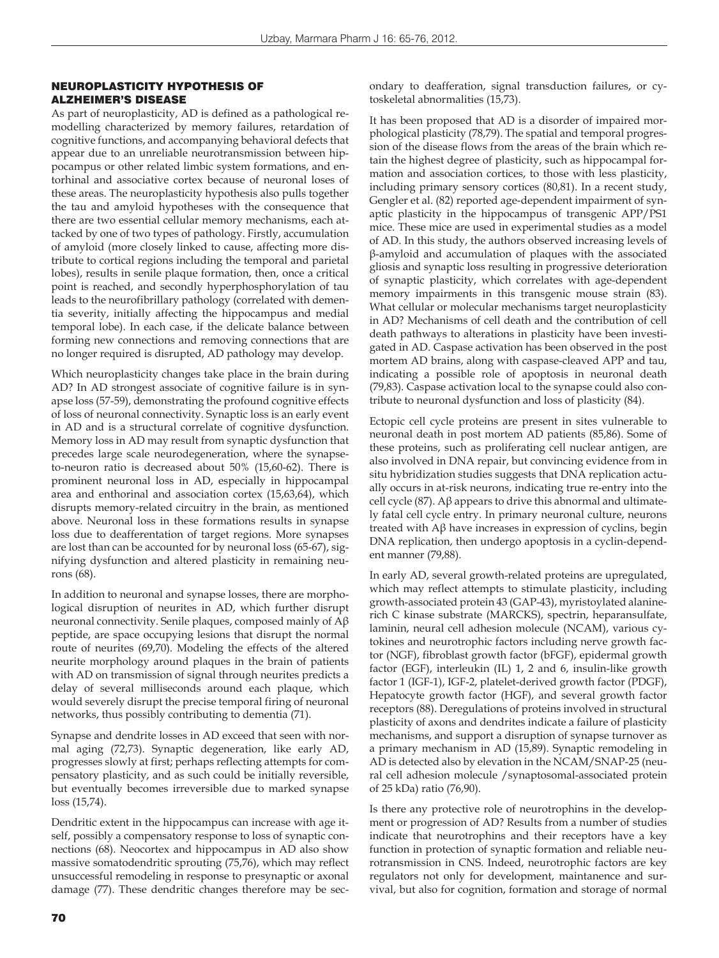## NEUROPLASTICITY HYPOTHESIS OF ALZHEIMER'S DISEASE

As part of neuroplasticity, AD is defined as a pathological remodelling characterized by memory failures, retardation of cognitive functions, and accompanying behavioral defects that appear due to an unreliable neurotransmission between hippocampus or other related limbic system formations, and entorhinal and associative cortex because of neuronal loses of these areas. The neuroplasticity hypothesis also pulls together the tau and amyloid hypotheses with the consequence that there are two essential cellular memory mechanisms, each attacked by one of two types of pathology. Firstly, accumulation of amyloid (more closely linked to cause, affecting more distribute to cortical regions including the temporal and parietal lobes), results in senile plaque formation, then, once a critical point is reached, and secondly hyperphosphorylation of tau leads to the neurofibrillary pathology (correlated with dementia severity, initially affecting the hippocampus and medial temporal lobe). In each case, if the delicate balance between forming new connections and removing connections that are no longer required is disrupted, AD pathology may develop.

Which neuroplasticity changes take place in the brain during AD? In AD strongest associate of cognitive failure is in synapse loss (57-59), demonstrating the profound cognitive effects of loss of neuronal connectivity. Synaptic loss is an early event in AD and is a structural correlate of cognitive dysfunction. Memory loss in AD may result from synaptic dysfunction that precedes large scale neurodegeneration, where the synapseto-neuron ratio is decreased about 50% (15,60-62). There is prominent neuronal loss in AD, especially in hippocampal area and enthorinal and association cortex (15,63,64), which disrupts memory-related circuitry in the brain, as mentioned above. Neuronal loss in these formations results in synapse loss due to deafferentation of target regions. More synapses are lost than can be accounted for by neuronal loss (65-67), signifying dysfunction and altered plasticity in remaining neurons (68).

In addition to neuronal and synapse losses, there are morphological disruption of neurites in AD, which further disrupt neuronal connectivity. Senile plaques, composed mainly of Aβ peptide, are space occupying lesions that disrupt the normal route of neurites (69,70). Modeling the effects of the altered neurite morphology around plaques in the brain of patients with AD on transmission of signal through neurites predicts a delay of several milliseconds around each plaque, which would severely disrupt the precise temporal firing of neuronal networks, thus possibly contributing to dementia (71).

Synapse and dendrite losses in AD exceed that seen with normal aging (72,73). Synaptic degeneration, like early AD, progresses slowly at first; perhaps reflecting attempts for compensatory plasticity, and as such could be initially reversible, but eventually becomes irreversible due to marked synapse loss (15,74).

Dendritic extent in the hippocampus can increase with age itself, possibly a compensatory response to loss of synaptic connections (68). Neocortex and hippocampus in AD also show massive somatodendritic sprouting (75,76), which may reflect unsuccessful remodeling in response to presynaptic or axonal damage (77). These dendritic changes therefore may be secondary to deafferation, signal transduction failures, or cytoskeletal abnormalities (15,73).

It has been proposed that AD is a disorder of impaired morphological plasticity (78,79). The spatial and temporal progression of the disease flows from the areas of the brain which retain the highest degree of plasticity, such as hippocampal formation and association cortices, to those with less plasticity, including primary sensory cortices (80,81). In a recent study, Gengler et al. (82) reported age-dependent impairment of synaptic plasticity in the hippocampus of transgenic APP/PS1 mice. These mice are used in experimental studies as a model of AD. In this study, the authors observed increasing levels of β-amyloid and accumulation of plaques with the associated gliosis and synaptic loss resulting in progressive deterioration of synaptic plasticity, which correlates with age-dependent memory impairments in this transgenic mouse strain (83). What cellular or molecular mechanisms target neuroplasticity in AD? Mechanisms of cell death and the contribution of cell death pathways to alterations in plasticity have been investigated in AD. Caspase activation has been observed in the post mortem AD brains, along with caspase-cleaved APP and tau, indicating a possible role of apoptosis in neuronal death (79,83). Caspase activation local to the synapse could also contribute to neuronal dysfunction and loss of plasticity (84).

Ectopic cell cycle proteins are present in sites vulnerable to neuronal death in post mortem AD patients (85,86). Some of these proteins, such as proliferating cell nuclear antigen, are also involved in DNA repair, but convincing evidence from in situ hybridization studies suggests that DNA replication actually occurs in at-risk neurons, indicating true re-entry into the cell cycle (87). Aβ appears to drive this abnormal and ultimately fatal cell cycle entry. In primary neuronal culture, neurons treated with Aβ have increases in expression of cyclins, begin DNA replication, then undergo apoptosis in a cyclin-dependent manner (79,88).

In early AD, several growth-related proteins are upregulated, which may reflect attempts to stimulate plasticity, including growth-associated protein 43 (GAP-43), myristoylated alaninerich C kinase substrate (MARCKS), spectrin, heparansulfate, laminin, neural cell adhesion molecule (NCAM), various cytokines and neurotrophic factors including nerve growth factor (NGF), fibroblast growth factor (bFGF), epidermal growth factor (EGF), interleukin (IL) 1, 2 and 6, insulin-like growth factor 1 (IGF-1), IGF-2, platelet-derived growth factor (PDGF), Hepatocyte growth factor (HGF), and several growth factor receptors (88). Deregulations of proteins involved in structural plasticity of axons and dendrites indicate a failure of plasticity mechanisms, and support a disruption of synapse turnover as a primary mechanism in AD (15,89). Synaptic remodeling in AD is detected also by elevation in the NCAM/SNAP-25 (neural cell adhesion molecule /synaptosomal-associated protein of 25 kDa) ratio (76,90).

Is there any protective role of neurotrophins in the development or progression of AD? Results from a number of studies indicate that neurotrophins and their receptors have a key function in protection of synaptic formation and reliable neurotransmission in CNS. Indeed, neurotrophic factors are key regulators not only for development, maintanence and survival, but also for cognition, formation and storage of normal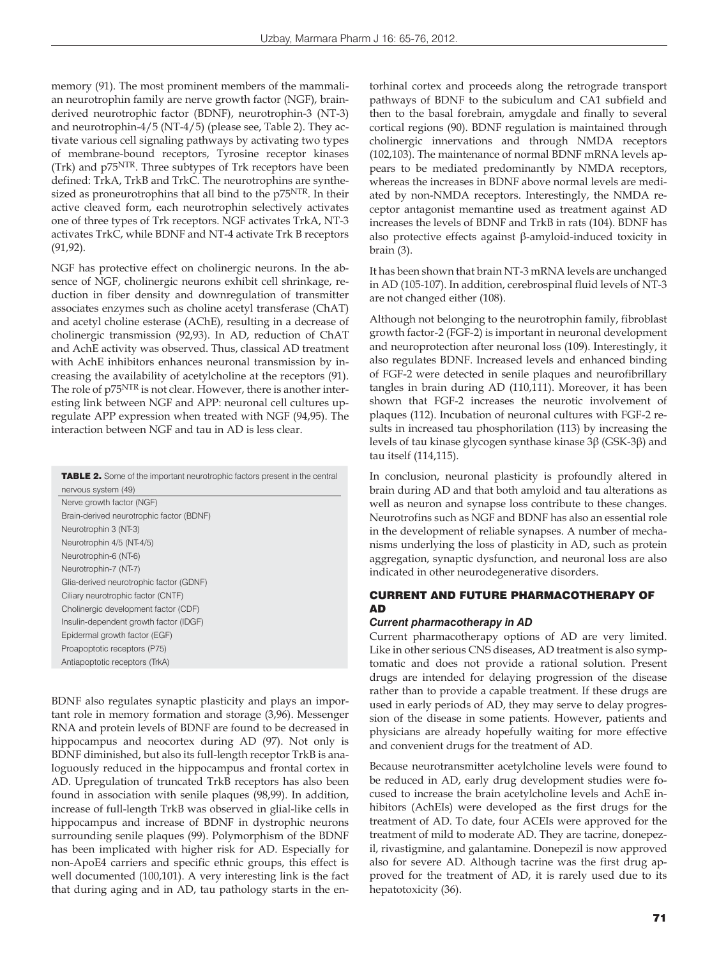memory (91). The most prominent members of the mammalian neurotrophin family are nerve growth factor (NGF), brainderived neurotrophic factor (BDNF), neurotrophin-3 (NT-3) and neurotrophin-4/5 (NT-4/5) (please see, Table 2). They activate various cell signaling pathways by activating two types of membrane-bound receptors, Tyrosine receptor kinases (Trk) and p75NTR. Three subtypes of Trk receptors have been defined: TrkA, TrkB and TrkC. The neurotrophins are synthesized as proneurotrophins that all bind to the p75<sup>NTR</sup>. In their active cleaved form, each neurotrophin selectively activates one of three types of Trk receptors. NGF activates TrkA, NT-3 activates TrkC, while BDNF and NT-4 activate Trk B receptors (91,92).

NGF has protective effect on cholinergic neurons. In the absence of NGF, cholinergic neurons exhibit cell shrinkage, reduction in fiber density and downregulation of transmitter associates enzymes such as choline acetyl transferase (ChAT) and acetyl choline esterase (AChE), resulting in a decrease of cholinergic transmission (92,93). In AD, reduction of ChAT and AchE activity was observed. Thus, classical AD treatment with AchE inhibitors enhances neuronal transmission by increasing the availability of acetylcholine at the receptors (91). The role of p75NTR is not clear. However, there is another interesting link between NGF and APP: neuronal cell cultures upregulate APP expression when treated with NGF (94,95). The interaction between NGF and tau in AD is less clear.

| <b>TABLE 2.</b> Some of the important neurotrophic factors present in the central |                                          |  |
|-----------------------------------------------------------------------------------|------------------------------------------|--|
|                                                                                   | nervous system (49)                      |  |
|                                                                                   | Nerve growth factor (NGF)                |  |
|                                                                                   | Brain-derived neurotrophic factor (BDNF) |  |
|                                                                                   | Neurotrophin 3 (NT-3)                    |  |
|                                                                                   | Neurotrophin 4/5 (NT-4/5)                |  |
|                                                                                   | Neurotrophin-6 (NT-6)                    |  |
|                                                                                   | Neurotrophin-7 (NT-7)                    |  |
|                                                                                   | Glia-derived neurotrophic factor (GDNF)  |  |
|                                                                                   | Ciliary neurotrophic factor (CNTF)       |  |
|                                                                                   | Cholinergic development factor (CDF)     |  |
|                                                                                   | Insulin-dependent growth factor (IDGF)   |  |
|                                                                                   | Epidermal growth factor (EGF)            |  |
|                                                                                   | Proapoptotic receptors (P75)             |  |
|                                                                                   | Antiapoptotic receptors (TrkA)           |  |

BDNF also regulates synaptic plasticity and plays an important role in memory formation and storage (3,96). Messenger RNA and protein levels of BDNF are found to be decreased in hippocampus and neocortex during AD (97). Not only is BDNF diminished, but also its full-length receptor TrkB is analoguously reduced in the hippocampus and frontal cortex in AD. Upregulation of truncated TrkB receptors has also been found in association with senile plaques (98,99). In addition, increase of full-length TrkB was observed in glial-like cells in hippocampus and increase of BDNF in dystrophic neurons surrounding senile plaques (99). Polymorphism of the BDNF has been implicated with higher risk for AD. Especially for non-ApoE4 carriers and specific ethnic groups, this effect is well documented (100,101). A very interesting link is the fact that during aging and in AD, tau pathology starts in the entorhinal cortex and proceeds along the retrograde transport pathways of BDNF to the subiculum and CA1 subfield and then to the basal forebrain, amygdale and finally to several cortical regions (90). BDNF regulation is maintained through cholinergic innervations and through NMDA receptors (102,103). The maintenance of normal BDNF mRNA levels appears to be mediated predominantly by NMDA receptors, whereas the increases in BDNF above normal levels are mediated by non-NMDA receptors. Interestingly, the NMDA receptor antagonist memantine used as treatment against AD increases the levels of BDNF and TrkB in rats (104). BDNF has also protective effects against β-amyloid-induced toxicity in brain (3).

It has been shown that brain NT-3 mRNA levels are unchanged in AD (105-107). In addition, cerebrospinal fluid levels of NT-3 are not changed either (108).

Although not belonging to the neurotrophin family, fibroblast growth factor-2 (FGF-2) is important in neuronal development and neuroprotection after neuronal loss (109). Interestingly, it also regulates BDNF. Increased levels and enhanced binding of FGF-2 were detected in senile plaques and neurofibrillary tangles in brain during AD (110,111). Moreover, it has been shown that FGF-2 increases the neurotic involvement of plaques (112). Incubation of neuronal cultures with FGF-2 results in increased tau phosphorilation (113) by increasing the levels of tau kinase glycogen synthase kinase 3β (GSK-3β) and tau itself (114,115).

In conclusion, neuronal plasticity is profoundly altered in brain during AD and that both amyloid and tau alterations as well as neuron and synapse loss contribute to these changes. Neurotrofins such as NGF and BDNF has also an essential role in the development of reliable synapses. A number of mechanisms underlying the loss of plasticity in AD, such as protein aggregation, synaptic dysfunction, and neuronal loss are also indicated in other neurodegenerative disorders.

## CURRENT AND FUTURE PHARMACOTHERAPY OF AD

## *Current pharmacotherapy in AD*

Current pharmacotherapy options of AD are very limited. Like in other serious CNS diseases, AD treatment is also symptomatic and does not provide a rational solution. Present drugs are intended for delaying progression of the disease rather than to provide a capable treatment. If these drugs are used in early periods of AD, they may serve to delay progression of the disease in some patients. However, patients and physicians are already hopefully waiting for more effective and convenient drugs for the treatment of AD.

Because neurotransmitter acetylcholine levels were found to be reduced in AD, early drug development studies were focused to increase the brain acetylcholine levels and AchE inhibitors (AchEIs) were developed as the first drugs for the treatment of AD. To date, four ACEIs were approved for the treatment of mild to moderate AD. They are tacrine, donepezil, rivastigmine, and galantamine. Donepezil is now approved also for severe AD. Although tacrine was the first drug approved for the treatment of AD, it is rarely used due to its hepatotoxicity (36).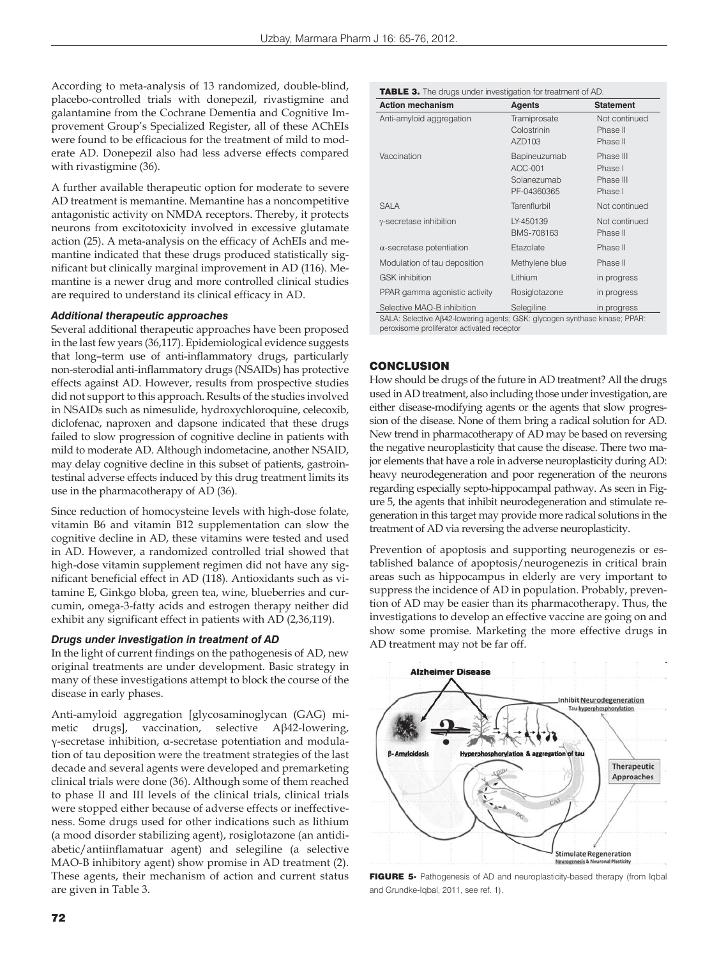According to meta-analysis of 13 randomized, double-blind, placebo-controlled trials with donepezil, rivastigmine and galantamine from the Cochrane Dementia and Cognitive Improvement Group's Specialized Register, all of these AChEIs were found to be efficacious for the treatment of mild to moderate AD. Donepezil also had less adverse effects compared with rivastigmine (36).

A further available therapeutic option for moderate to severe AD treatment is memantine. Memantine has a noncompetitive antagonistic activity on NMDA receptors. Thereby, it protects neurons from excitotoxicity involved in excessive glutamate action (25). A meta-analysis on the efficacy of AchEIs and memantine indicated that these drugs produced statistically significant but clinically marginal improvement in AD (116). Memantine is a newer drug and more controlled clinical studies are required to understand its clinical efficacy in AD.

#### *Additional therapeutic approaches*

Several additional therapeutic approaches have been proposed in the last few years (36,117). Epidemiological evidence suggests that long–term use of anti-inflammatory drugs, particularly non-sterodial anti-inflammatory drugs (NSAIDs) has protective effects against AD. However, results from prospective studies did not support to this approach. Results of the studies involved in NSAIDs such as nimesulide, hydroxychloroquine, celecoxib, diclofenac, naproxen and dapsone indicated that these drugs failed to slow progression of cognitive decline in patients with mild to moderate AD. Although indometacine, another NSAID, may delay cognitive decline in this subset of patients, gastrointestinal adverse effects induced by this drug treatment limits its use in the pharmacotherapy of AD (36).

Since reduction of homocysteine levels with high-dose folate, vitamin B6 and vitamin B12 supplementation can slow the cognitive decline in AD, these vitamins were tested and used in AD. However, a randomized controlled trial showed that high-dose vitamin supplement regimen did not have any significant beneficial effect in AD (118). Antioxidants such as vitamine E, Ginkgo bloba, green tea, wine, blueberries and curcumin, omega-3-fatty acids and estrogen therapy neither did exhibit any significant effect in patients with AD (2,36,119).

#### *Drugs under investigation in treatment of AD*

In the light of current findings on the pathogenesis of AD, new original treatments are under development. Basic strategy in many of these investigations attempt to block the course of the disease in early phases.

Anti-amyloid aggregation [glycosaminoglycan (GAG) mimetic drugs], vaccination, selective Aβ42-lowering, γ-secretase inhibition, α-secretase potentiation and modulation of tau deposition were the treatment strategies of the last decade and several agents were developed and premarketing clinical trials were done (36). Although some of them reached to phase II and III levels of the clinical trials, clinical trials were stopped either because of adverse effects or ineffectiveness. Some drugs used for other indications such as lithium (a mood disorder stabilizing agent), rosiglotazone (an antidiabetic/antiinflamatuar agent) and selegiline (a selective MAO-B inhibitory agent) show promise in AD treatment (2). These agents, their mechanism of action and current status are given in Table 3.

TABLE 3. The drugs under investigation for treatment of AD.

| <b>Action mechanism</b>          | <b>Agents</b>                                         | <b>Statement</b>                             |
|----------------------------------|-------------------------------------------------------|----------------------------------------------|
| Anti-amyloid aggregation         | Tramiprosate<br>Colostrinin<br>AZD103                 | Not continued<br>Phase II<br>Phase II        |
| Vaccination                      | Bapineuzumab<br>ACC-001<br>Solanezumab<br>PF-04360365 | Phase III<br>Phase I<br>Phase III<br>Phase I |
| <b>SALA</b>                      | Tarenflurbil                                          | Not continued                                |
| γ-secretase inhibition           | LY-450139<br>BMS-708163                               | Not continued<br>Phase II                    |
| $\alpha$ -secretase potentiation | Etazolate                                             | Phase II                                     |
| Modulation of tau deposition     | Methylene blue                                        | Phase II                                     |
| <b>GSK</b> inhibition            | Lithium                                               | in progress                                  |
| PPAR gamma agonistic activity    | Rosiglotazone                                         | in progress                                  |
| Selective MAO-B inhibition       | Selegiline                                            | in progress                                  |

SALA: Selective Aß42-lowering agents; GSK: glycogen synthase kinase; PPAR: peroxisome proliferator activated receptor

## **CONCLUSION**

How should be drugs of the future in AD treatment? All the drugs used in AD treatment, also including those under investigation, are either disease-modifying agents or the agents that slow progression of the disease. None of them bring a radical solution for AD. New trend in pharmacotherapy of AD may be based on reversing the negative neuroplasticity that cause the disease. There two major elements that have a role in adverse neuroplasticity during AD: heavy neurodegeneration and poor regeneration of the neurons regarding especially septo-hippocampal pathway. As seen in Figure 5, the agents that inhibit neurodegeneration and stimulate regeneration in this target may provide more radical solutions in the treatment of AD via reversing the adverse neuroplasticity.

Prevention of apoptosis and supporting neurogenezis or established balance of apoptosis/neurogenezis in critical brain areas such as hippocampus in elderly are very important to suppress the incidence of AD in population. Probably, prevention of AD may be easier than its pharmacotherapy. Thus, the investigations to develop an effective vaccine are going on and show some promise. Marketing the more effective drugs in AD treatment may not be far off.



FIGURE 5- Pathogenesis of AD and neuroplasticity-based therapy (from Iqbal and Grundke-Iqbal, 2011, see ref. 1).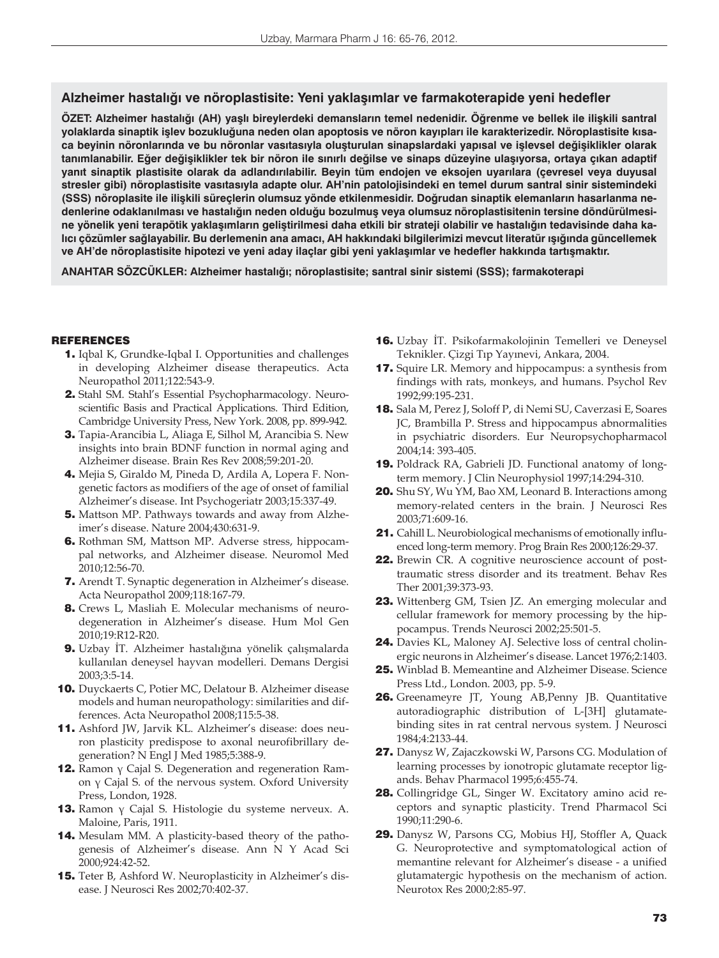# **Alzheimer hastalığı ve nöroplastisite: Yeni yaklaşımlar ve farmakoterapide yeni hedefler**

**ÖZET: Alzheimer hastalığı (AH) yaşlı bireylerdeki demansların temel nedenidir. Öğrenme ve bellek ile ilişkili santral yolaklarda sinaptik işlev bozukluğuna neden olan apoptosis ve nöron kayıpları ile karakterizedir. Nöroplastisite kısaca beyinin nöronlarında ve bu nöronlar vasıtasıyla oluşturulan sinapslardaki yapısal ve işlevsel değişiklikler olarak tanımlanabilir. Eğer değişiklikler tek bir nöron ile sınırlı değilse ve sinaps düzeyine ulaşıyorsa, ortaya çıkan adaptif yanıt sinaptik plastisite olarak da adlandırılabilir. Beyin tüm endojen ve eksojen uyarılara (çevresel veya duyusal stresler gibi) nöroplastisite vasıtasıyla adapte olur. AH'nin patolojisindeki en temel durum santral sinir sistemindeki (SSS) nöroplasite ile ilişkili süreçlerin olumsuz yönde etkilenmesidir. Doğrudan sinaptik elemanların hasarlanma nedenlerine odaklanılması ve hastalığın neden olduğu bozulmuş veya olumsuz nöroplastisitenin tersine döndürülmesine yönelik yeni terapötik yaklaşımların geliştirilmesi daha etkili bir strateji olabilir ve hastalığın tedavisinde daha kalıcı çözümler sağlayabilir. Bu derlemenin ana amacı, AH hakkındaki bilgilerimizi mevcut literatür ışığında güncellemek ve AH'de nöroplastisite hipotezi ve yeni aday ilaçlar gibi yeni yaklaşımlar ve hedefler hakkında tartışmaktır.**

**ANAHTAR SÖZCÜKLER: Alzheimer hastalığı; nöroplastisite; santral sinir sistemi (SSS); farmakoterapi**

## REFERENCES

- 1. Iqbal K, Grundke-Iqbal I. Opportunities and challenges in developing Alzheimer disease therapeutics. Acta Neuropathol 2011;122:543-9.
- 2. Stahl SM. Stahl's Essential Psychopharmacology. Neuroscientific Basis and Practical Applications. Third Edition, Cambridge University Press, New York. 2008, pp. 899-942.
- 3. Tapia-Arancibia L, Aliaga E, Silhol M, Arancibia S. New insights into brain BDNF function in normal aging and Alzheimer disease. Brain Res Rev 2008;59:201-20.
- 4. Mejia S, Giraldo M, Pineda D, Ardila A, Lopera F. Nongenetic factors as modifiers of the age of onset of familial Alzheimer's disease. Int Psychogeriatr 2003;15:337-49.
- 5. Mattson MP. Pathways towards and away from Alzheimer's disease. Nature 2004;430:631-9.
- 6. Rothman SM, Mattson MP. Adverse stress, hippocampal networks, and Alzheimer disease. Neuromol Med 2010;12:56-70.
- 7. Arendt T. Synaptic degeneration in Alzheimer's disease. Acta Neuropathol 2009;118:167-79.
- 8. Crews L, Masliah E. Molecular mechanisms of neurodegeneration in Alzheimer's disease. Hum Mol Gen 2010;19:R12-R20.
- 9. Uzbay İT. Alzheimer hastalığına yönelik çalışmalarda kullanılan deneysel hayvan modelleri. Demans Dergisi 2003;3:5-14.
- 10. Duyckaerts C, Potier MC, Delatour B. Alzheimer disease models and human neuropathology: similarities and differences. Acta Neuropathol 2008;115:5-38.
- 11. Ashford JW, Jarvik KL. Alzheimer's disease: does neuron plasticity predispose to axonal neurofibrillary degeneration? N Engl J Med 1985;5:388-9.
- **12.** Ramon γ Cajal S. Degeneration and regeneration Ramon γ Cajal S. of the nervous system. Oxford University Press, London, 1928.
- 13. Ramon γ Cajal S. Histologie du systeme nerveux. A. Maloine, Paris, 1911.
- 14. Mesulam MM. A plasticity-based theory of the pathogenesis of Alzheimer's disease. Ann N Y Acad Sci 2000;924:42-52.
- 15. Teter B, Ashford W. Neuroplasticity in Alzheimer's disease. J Neurosci Res 2002;70:402-37.
- 16. Uzbay İT. Psikofarmakolojinin Temelleri ve Deneysel Teknikler. Çizgi Tıp Yayınevi, Ankara, 2004.
- 17. Squire LR. Memory and hippocampus: a synthesis from findings with rats, monkeys, and humans. Psychol Rev 1992;99:195-231.
- 18. Sala M, Perez J, Soloff P, di Nemi SU, Caverzasi E, Soares JC, Brambilla P. Stress and hippocampus abnormalities in psychiatric disorders. Eur Neuropsychopharmacol 2004;14: 393-405.
- 19. Poldrack RA, Gabrieli JD. Functional anatomy of longterm memory. J Clin Neurophysiol 1997;14:294-310.
- 20. Shu SY, Wu YM, Bao XM, Leonard B. Interactions among memory-related centers in the brain. J Neurosci Res 2003;71:609-16.
- 21. Cahill L. Neurobiological mechanisms of emotionally influenced long-term memory. Prog Brain Res 2000;126:29-37.
- 22. Brewin CR. A cognitive neuroscience account of posttraumatic stress disorder and its treatment. Behav Res Ther 2001;39:373-93.
- 23. Wittenberg GM, Tsien JZ. An emerging molecular and cellular framework for memory processing by the hippocampus. Trends Neurosci 2002;25:501-5.
- 24. Davies KL, Maloney AJ. Selective loss of central cholinergic neurons in Alzheimer's disease. Lancet 1976;2:1403.
- 25. Winblad B. Memeantine and Alzheimer Disease. Science Press Ltd., London. 2003, pp. 5-9.
- 26. Greenameyre JT, Young AB,Penny JB. Quantitative autoradiographic distribution of L-[3H] glutamatebinding sites in rat central nervous system. J Neurosci 1984;4:2133-44.
- 27. Danysz W, Zajaczkowski W, Parsons CG. Modulation of learning processes by ionotropic glutamate receptor ligands. Behav Pharmacol 1995;6:455-74.
- 28. Collingridge GL, Singer W. Excitatory amino acid receptors and synaptic plasticity. Trend Pharmacol Sci 1990;11:290-6.
- 29. Danysz W, Parsons CG, Mobius HJ, Stoffler A, Quack G. Neuroprotective and symptomatological action of memantine relevant for Alzheimer's disease - a unified glutamatergic hypothesis on the mechanism of action. Neurotox Res 2000;2:85-97.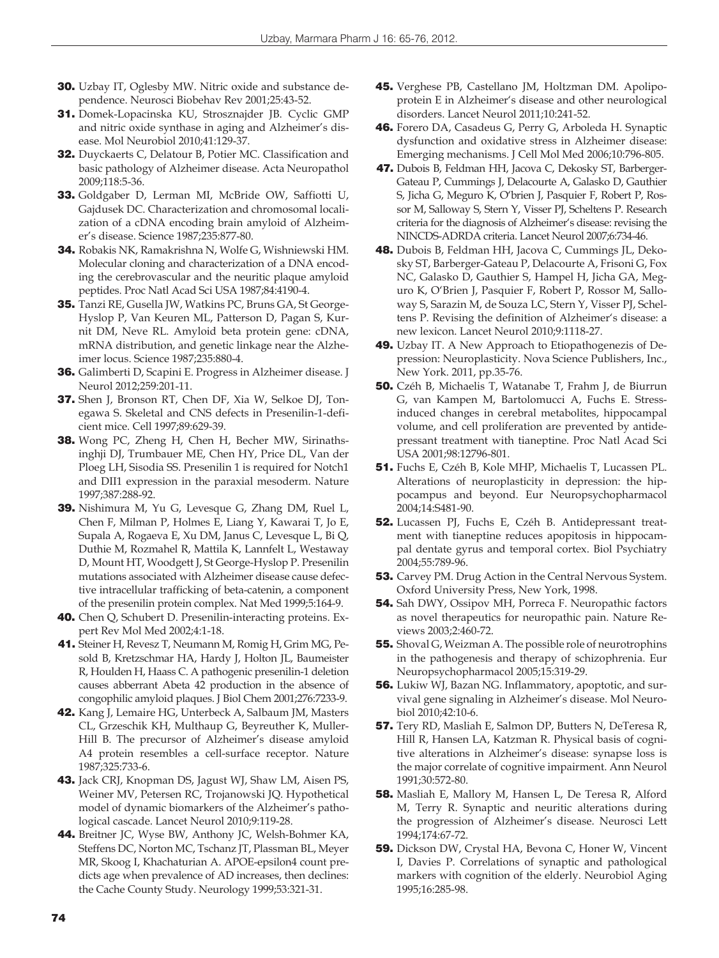- 30. Uzbay IT, Oglesby MW. Nitric oxide and substance dependence. Neurosci Biobehav Rev 2001;25:43-52.
- 31. Domek-Lopacinska KU, Strosznajder JB. Cyclic GMP and nitric oxide synthase in aging and Alzheimer's disease. Mol Neurobiol 2010;41:129-37.
- 32. Duyckaerts C, Delatour B, Potier MC. Classification and basic pathology of Alzheimer disease. Acta Neuropathol 2009;118:5-36.
- 33. Goldgaber D, Lerman MI, McBride OW, Saffiotti U, Gajdusek DC. Characterization and chromosomal localization of a cDNA encoding brain amyloid of Alzheimer's disease. Science 1987;235:877-80.
- 34. Robakis NK, Ramakrishna N, Wolfe G, Wishniewski HM. Molecular cloning and characterization of a DNA encoding the cerebrovascular and the neuritic plaque amyloid peptides. Proc Natl Acad Sci USA 1987;84:4190-4.
- 35. Tanzi RE, Gusella JW, Watkins PC, Bruns GA, St George-Hyslop P, Van Keuren ML, Patterson D, Pagan S, Kurnit DM, Neve RL. Amyloid beta protein gene: cDNA, mRNA distribution, and genetic linkage near the Alzheimer locus. Science 1987;235:880-4.
- 36. Galimberti D, Scapini E. Progress in Alzheimer disease. J Neurol 2012;259:201-11.
- 37. Shen J, Bronson RT, Chen DF, Xia W, Selkoe DJ, Tonegawa S. Skeletal and CNS defects in Presenilin-1-deficient mice. Cell 1997;89:629-39.
- 38. Wong PC, Zheng H, Chen H, Becher MW, Sirinathsinghji DJ, Trumbauer ME, Chen HY, Price DL, Van der Ploeg LH, Sisodia SS. Presenilin 1 is required for Notch1 and DII1 expression in the paraxial mesoderm. Nature 1997;387:288-92.
- 39. Nishimura M, Yu G, Levesque G, Zhang DM, Ruel L, Chen F, Milman P, Holmes E, Liang Y, Kawarai T, Jo E, Supala A, Rogaeva E, Xu DM, Janus C, Levesque L, Bi Q, Duthie M, Rozmahel R, Mattila K, Lannfelt L, Westaway D, Mount HT, Woodgett J, St George-Hyslop P. Presenilin mutations associated with Alzheimer disease cause defective intracellular trafficking of beta-catenin, a component of the presenilin protein complex. Nat Med 1999;5:164-9.
- 40. Chen Q, Schubert D. Presenilin-interacting proteins. Expert Rev Mol Med 2002;4:1-18.
- 41. Steiner H, Revesz T, Neumann M, Romig H, Grim MG, Pesold B, Kretzschmar HA, Hardy J, Holton JL, Baumeister R, Houlden H, Haass C. A pathogenic presenilin-1 deletion causes abberrant Abeta 42 production in the absence of congophilic amyloid plaques. J Biol Chem 2001;276:7233-9.
- 42. Kang J, Lemaire HG, Unterbeck A, Salbaum JM, Masters CL, Grzeschik KH, Multhaup G, Beyreuther K, Muller-Hill B. The precursor of Alzheimer's disease amyloid A4 protein resembles a cell-surface receptor. Nature 1987;325:733-6.
- 43. Jack CRJ, Knopman DS, Jagust WJ, Shaw LM, Aisen PS, Weiner MV, Petersen RC, Trojanowski JQ. Hypothetical model of dynamic biomarkers of the Alzheimer's pathological cascade. Lancet Neurol 2010;9:119-28.
- 44. Breitner JC, Wyse BW, Anthony JC, Welsh-Bohmer KA, Steffens DC, Norton MC, Tschanz JT, Plassman BL, Meyer MR, Skoog I, Khachaturian A. APOE-epsilon4 count predicts age when prevalence of AD increases, then declines: the Cache County Study. Neurology 1999;53:321-31.
- 45. Verghese PB, Castellano JM, Holtzman DM. Apolipoprotein E in Alzheimer's disease and other neurological disorders. Lancet Neurol 2011;10:241-52.
- 46. Forero DA, Casadeus G, Perry G, Arboleda H. Synaptic dysfunction and oxidative stress in Alzheimer disease: Emerging mechanisms. J Cell Mol Med 2006;10:796-805.
- 47. Dubois B, Feldman HH, Jacova C, Dekosky ST, Barberger-Gateau P, Cummings J, Delacourte A, Galasko D, Gauthier S, Jicha G, Meguro K, O'brien J, Pasquier F, Robert P, Rossor M, Salloway S, Stern Y, Visser PJ, Scheltens P. Research criteria for the diagnosis of Alzheimer's disease: revising the NINCDS-ADRDA criteria. Lancet Neurol 2007;6:734-46.
- 48. Dubois B, Feldman HH, Jacova C, Cummings JL, Dekosky ST, Barberger-Gateau P, Delacourte A, Frisoni G, Fox NC, Galasko D, Gauthier S, Hampel H, Jicha GA, Meguro K, O'Brien J, Pasquier F, Robert P, Rossor M, Salloway S, Sarazin M, de Souza LC, Stern Y, Visser PJ, Scheltens P. Revising the definition of Alzheimer's disease: a new lexicon. Lancet Neurol 2010;9:1118-27.
- 49. Uzbay IT. A New Approach to Etiopathogenezis of Depression: Neuroplasticity. Nova Science Publishers, Inc., New York. 2011, pp.35-76.
- 50. Czéh B, Michaelis T, Watanabe T, Frahm J, de Biurrun G, van Kampen M, Bartolomucci A, Fuchs E. Stressinduced changes in cerebral metabolites, hippocampal volume, and cell proliferation are prevented by antidepressant treatment with tianeptine. Proc Natl Acad Sci USA 2001;98:12796-801.
- 51. Fuchs E, Czéh B, Kole MHP, Michaelis T, Lucassen PL. Alterations of neuroplasticity in depression: the hippocampus and beyond. Eur Neuropsychopharmacol 2004;14:S481-90.
- 52. Lucassen PJ, Fuchs E, Czéh B. Antidepressant treatment with tianeptine reduces apopitosis in hippocampal dentate gyrus and temporal cortex. Biol Psychiatry 2004;55:789-96.
- 53. Carvey PM. Drug Action in the Central Nervous System. Oxford University Press, New York, 1998.
- 54. Sah DWY, Ossipov MH, Porreca F. Neuropathic factors as novel therapeutics for neuropathic pain. Nature Reviews 2003;2:460-72.
- 55. Shoval G, Weizman A. The possible role of neurotrophins in the pathogenesis and therapy of schizophrenia. Eur Neuropsychopharmacol 2005;15:319-29.
- 56. Lukiw WJ, Bazan NG. Inflammatory, apoptotic, and survival gene signaling in Alzheimer's disease. Mol Neurobiol 2010;42:10-6.
- 57. Tery RD, Masliah E, Salmon DP, Butters N, DeTeresa R, Hill R, Hansen LA, Katzman R. Physical basis of cognitive alterations in Alzheimer's disease: synapse loss is the major correlate of cognitive impairment. Ann Neurol 1991;30:572-80.
- 58. Masliah E, Mallory M, Hansen L, De Teresa R, Alford M, Terry R. Synaptic and neuritic alterations during the progression of Alzheimer's disease. Neurosci Lett 1994;174:67-72.
- 59. Dickson DW, Crystal HA, Bevona C, Honer W, Vincent I, Davies P. Correlations of synaptic and pathological markers with cognition of the elderly. Neurobiol Aging 1995;16:285-98.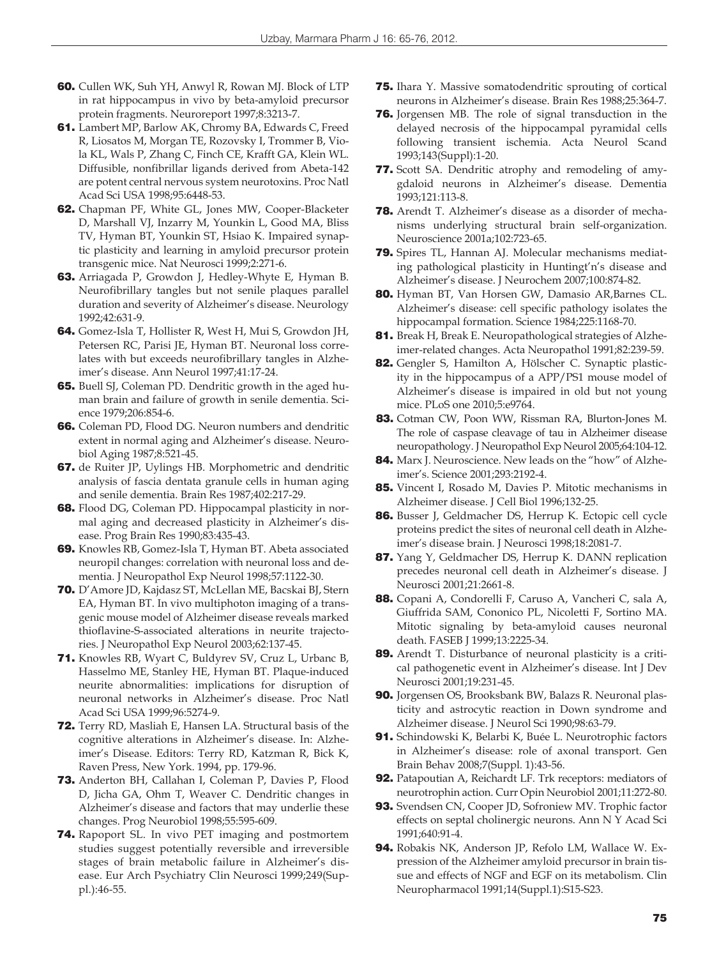- 60. Cullen WK, Suh YH, Anwyl R, Rowan MJ. Block of LTP in rat hippocampus in vivo by beta-amyloid precursor protein fragments. Neuroreport 1997;8:3213-7.
- 61. Lambert MP, Barlow AK, Chromy BA, Edwards C, Freed R, Liosatos M, Morgan TE, Rozovsky I, Trommer B, Viola KL, Wals P, Zhang C, Finch CE, Krafft GA, Klein WL. Diffusible, nonfibrillar ligands derived from Abeta-142 are potent central nervous system neurotoxins. Proc Natl Acad Sci USA 1998;95:6448-53.
- 62. Chapman PF, White GL, Jones MW, Cooper-Blacketer D, Marshall VJ, Inzarry M, Younkin L, Good MA, Bliss TV, Hyman BT, Younkin ST, Hsiao K. Impaired synaptic plasticity and learning in amyloid precursor protein transgenic mice. Nat Neurosci 1999;2:271-6.
- 63. Arriagada P, Growdon J, Hedley-Whyte E, Hyman B. Neurofibrillary tangles but not senile plaques parallel duration and severity of Alzheimer's disease. Neurology 1992;42:631-9.
- 64. Gomez-Isla T, Hollister R, West H, Mui S, Growdon JH, Petersen RC, Parisi JE, Hyman BT. Neuronal loss correlates with but exceeds neurofibrillary tangles in Alzheimer's disease. Ann Neurol 1997;41:17-24.
- 65. Buell SJ, Coleman PD. Dendritic growth in the aged human brain and failure of growth in senile dementia. Science 1979;206:854-6.
- 66. Coleman PD, Flood DG. Neuron numbers and dendritic extent in normal aging and Alzheimer's disease. Neurobiol Aging 1987;8:521-45.
- 67. de Ruiter JP, Uylings HB. Morphometric and dendritic analysis of fascia dentata granule cells in human aging and senile dementia. Brain Res 1987;402:217-29.
- 68. Flood DG, Coleman PD. Hippocampal plasticity in normal aging and decreased plasticity in Alzheimer's disease. Prog Brain Res 1990;83:435-43.
- 69. Knowles RB, Gomez-Isla T, Hyman BT. Abeta associated neuropil changes: correlation with neuronal loss and dementia. J Neuropathol Exp Neurol 1998;57:1122-30.
- 70. D'Amore JD, Kajdasz ST, McLellan ME, Bacskai BJ, Stern EA, Hyman BT. In vivo multiphoton imaging of a transgenic mouse model of Alzheimer disease reveals marked thioflavine-S-associated alterations in neurite trajectories. J Neuropathol Exp Neurol 2003;62:137-45.
- 71. Knowles RB, Wyart C, Buldyrev SV, Cruz L, Urbanc B, Hasselmo ME, Stanley HE, Hyman BT. Plaque-induced neurite abnormalities: implications for disruption of neuronal networks in Alzheimer's disease. Proc Natl Acad Sci USA 1999;96:5274-9.
- 72. Terry RD, Masliah E, Hansen LA. Structural basis of the cognitive alterations in Alzheimer's disease. In: Alzheimer's Disease. Editors: Terry RD, Katzman R, Bick K, Raven Press, New York. 1994, pp. 179-96.
- 73. Anderton BH, Callahan I, Coleman P, Davies P, Flood D, Jicha GA, Ohm T, Weaver C. Dendritic changes in Alzheimer's disease and factors that may underlie these changes. Prog Neurobiol 1998;55:595-609.
- 74. Rapoport SL. In vivo PET imaging and postmortem studies suggest potentially reversible and irreversible stages of brain metabolic failure in Alzheimer's disease. Eur Arch Psychiatry Clin Neurosci 1999;249(Suppl.):46-55.
- 75. Ihara Y. Massive somatodendritic sprouting of cortical neurons in Alzheimer's disease. Brain Res 1988;25:364-7.
- 76. Jorgensen MB. The role of signal transduction in the delayed necrosis of the hippocampal pyramidal cells following transient ischemia. Acta Neurol Scand 1993;143(Suppl):1-20.
- 77. Scott SA. Dendritic atrophy and remodeling of amygdaloid neurons in Alzheimer's disease. Dementia 1993;121:113-8.
- 78. Arendt T. Alzheimer's disease as a disorder of mechanisms underlying structural brain self-organization. Neuroscience 2001a;102:723-65.
- 79. Spires TL, Hannan AJ. Molecular mechanisms mediating pathological plasticity in Huntingt'n's disease and Alzheimer's disease. J Neurochem 2007;100:874-82.
- 80. Hyman BT, Van Horsen GW, Damasio AR,Barnes CL. Alzheimer's disease: cell specific pathology isolates the hippocampal formation. Science 1984;225:1168-70.
- 81. Break H, Break E. Neuropathological strategies of Alzheimer-related changes. Acta Neuropathol 1991;82:239-59.
- 82. Gengler S, Hamilton A, Hölscher C. Synaptic plasticity in the hippocampus of a APP/PS1 mouse model of Alzheimer's disease is impaired in old but not young mice. PLoS one 2010;5:e9764.
- 83. Cotman CW, Poon WW, Rissman RA, Blurton-Jones M. The role of caspase cleavage of tau in Alzheimer disease neuropathology. J Neuropathol Exp Neurol 2005;64:104-12.
- 84. Marx J. Neuroscience. New leads on the "how" of Alzheimer's. Science 2001;293:2192-4.
- 85. Vincent I, Rosado M, Davies P. Mitotic mechanisms in Alzheimer disease. J Cell Biol 1996;132-25.
- 86. Busser J, Geldmacher DS, Herrup K. Ectopic cell cycle proteins predict the sites of neuronal cell death in Alzheimer's disease brain. J Neurosci 1998;18:2081-7.
- 87. Yang Y, Geldmacher DS, Herrup K. DANN replication precedes neuronal cell death in Alzheimer's disease. J Neurosci 2001;21:2661-8.
- 88. Copani A, Condorelli F, Caruso A, Vancheri C, sala A, Giuffrida SAM, Cononico PL, Nicoletti F, Sortino MA. Mitotic signaling by beta-amyloid causes neuronal death. FASEB J 1999;13:2225-34.
- 89. Arendt T. Disturbance of neuronal plasticity is a critical pathogenetic event in Alzheimer's disease. Int J Dev Neurosci 2001;19:231-45.
- 90. Jorgensen OS, Brooksbank BW, Balazs R. Neuronal plasticity and astrocytic reaction in Down syndrome and Alzheimer disease. J Neurol Sci 1990;98:63-79.
- 91. Schindowski K, Belarbi K, Buée L. Neurotrophic factors in Alzheimer's disease: role of axonal transport. Gen Brain Behav 2008;7(Suppl. 1):43-56.
- 92. Patapoutian A, Reichardt LF. Trk receptors: mediators of neurotrophin action. Curr Opin Neurobiol 2001;11:272-80.
- 93. Svendsen CN, Cooper JD, Sofroniew MV. Trophic factor effects on septal cholinergic neurons. Ann N Y Acad Sci 1991;640:91-4.
- 94. Robakis NK, Anderson JP, Refolo LM, Wallace W. Expression of the Alzheimer amyloid precursor in brain tissue and effects of NGF and EGF on its metabolism. Clin Neuropharmacol 1991;14(Suppl.1):S15-S23.